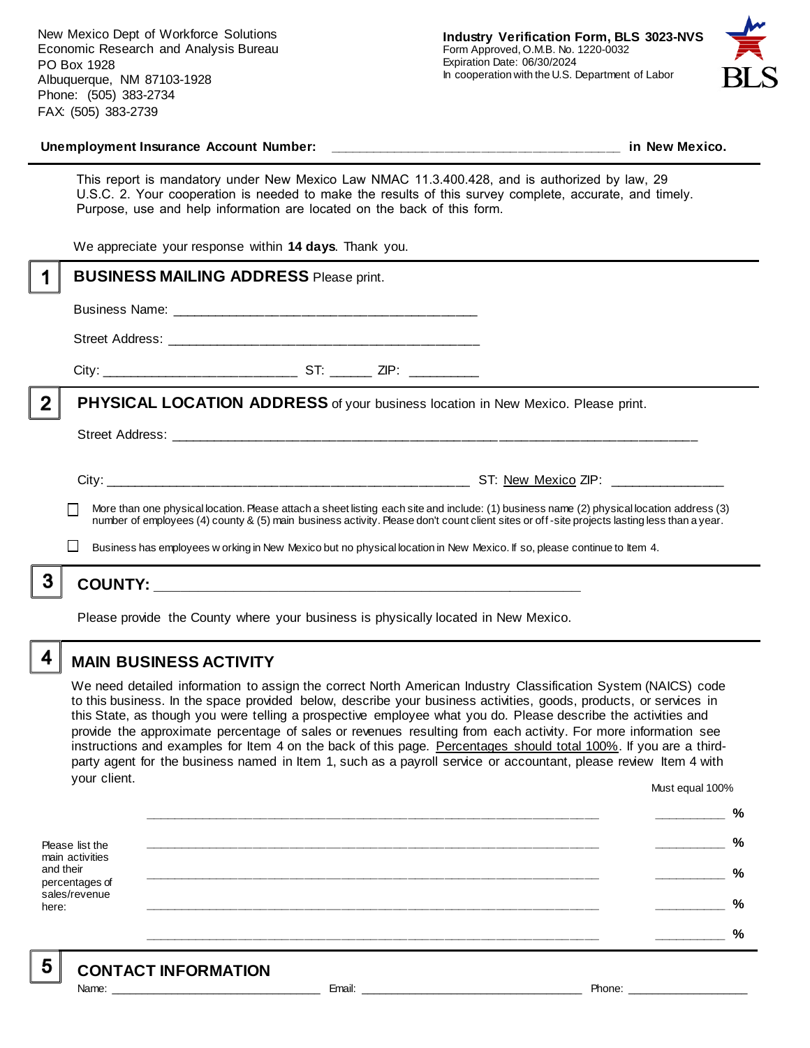New Mexico Dept of Workforce Solutions Economic Research and Analysis Bureau PO Box 1928 Albuquerque, NM 87103-1928 Phone: (505) 383-2734 FAX: (505) 383-2739



#### **Unemployment Insurance Account Number: \_\_\_\_\_\_\_\_\_\_\_\_\_\_\_\_\_\_\_\_\_\_\_\_\_\_\_\_\_\_\_\_\_\_\_\_\_\_\_\_ in New Mexico.**

This report is mandatory under New Mexico Law NMAC 11.3.400.428, and is authorized by law, 29 U.S.C. 2. Your cooperation is needed to make the results of this survey complete, accurate, and timely. Purpose, use and help information are located on the back of this form.

We appreciate your response within **14 days**. Thank you.

|                | <b>BUSINESS MAILING ADDRESS Please print.</b>                                                                                                                                                                                                                                            |  |  |
|----------------|------------------------------------------------------------------------------------------------------------------------------------------------------------------------------------------------------------------------------------------------------------------------------------------|--|--|
|                |                                                                                                                                                                                                                                                                                          |  |  |
|                |                                                                                                                                                                                                                                                                                          |  |  |
|                |                                                                                                                                                                                                                                                                                          |  |  |
| $\overline{2}$ | <b>PHYSICAL LOCATION ADDRESS</b> of your business location in New Mexico. Please print.                                                                                                                                                                                                  |  |  |
|                |                                                                                                                                                                                                                                                                                          |  |  |
|                |                                                                                                                                                                                                                                                                                          |  |  |
|                | More than one physical location. Please attach a sheet listing each site and include: (1) business name (2) physical location address (3)<br>number of employees (4) county & (5) main business activity. Please don't count client sites or off-site projects lasting less than a year. |  |  |
|                | $\mathbf{I}$<br>Business has employees w orking in New Mexico but no physical location in New Mexico. If so, please continue to Item 4.                                                                                                                                                  |  |  |
|                |                                                                                                                                                                                                                                                                                          |  |  |
|                |                                                                                                                                                                                                                                                                                          |  |  |

Please provide the County where your business is physically located in New Mexico.

4

5

# **MAIN BUSINESS ACTIVITY**

We need detailed information to assign the correct North American Industry Classification System (NAICS) code to this business. In the space provided below, describe your business activities, goods, products, or services in this State, as though you were telling a prospective employee what you do. Please describe the activities and provide the approximate percentage of sales or revenues resulting from each activity. For more information see instructions and examples for Item 4 on the back of this page. Percentages should total 100%. If you are a thirdparty agent for the business named in Item 1, such as a payroll service or accountant, please review Item 4 with your client. Must equal 100%

Please list the main activities and their percentages of sales/revenue here: **\_\_\_\_\_\_\_\_\_\_\_\_\_\_\_\_\_\_\_\_\_\_\_\_\_\_\_\_\_\_\_\_\_\_\_\_\_\_\_\_\_\_\_\_\_\_\_\_\_\_\_\_\_\_\_\_\_\_\_\_\_\_ \_\_\_\_\_\_\_\_\_\_ % \_\_\_\_\_\_\_\_\_\_\_\_\_\_\_\_\_\_\_\_\_\_\_\_\_\_\_\_\_\_\_\_\_\_\_\_\_\_\_\_\_\_\_\_\_\_\_\_\_\_\_\_\_\_\_\_\_\_\_\_\_\_ \_\_\_\_\_\_\_\_\_\_ % \_\_\_\_\_\_\_\_\_\_\_\_\_\_\_\_\_\_\_\_\_\_\_\_\_\_\_\_\_\_\_\_\_\_\_\_\_\_\_\_\_\_\_\_\_\_\_\_\_\_\_\_\_\_\_\_\_\_\_\_\_\_ \_\_\_\_\_\_\_\_\_\_ % \_\_\_\_\_\_\_\_\_\_\_\_\_\_\_\_\_\_\_\_\_\_\_\_\_\_\_\_\_\_\_\_\_\_\_\_\_\_\_\_\_\_\_\_\_\_\_\_\_\_\_\_\_\_\_\_\_\_\_\_\_\_ \_\_\_\_\_\_\_\_\_\_ % \_\_\_\_\_\_\_\_\_\_\_\_\_\_\_\_\_\_\_\_\_\_\_\_\_\_\_\_\_\_\_\_\_\_\_\_\_\_\_\_\_\_\_\_\_\_\_\_\_\_\_\_\_\_\_\_\_\_\_\_\_\_ \_\_\_\_\_\_\_\_\_\_ %**